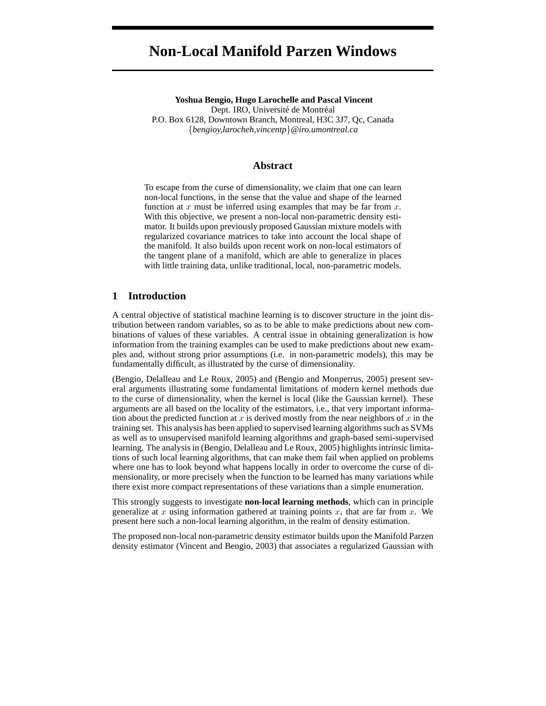# **Non-Local Manifold Parzen Windows**

**Yoshua Bengio, Hugo Larochelle and Pascal Vincent** Dept. IRO, Université de Montréal P.O. Box 6128, Downtown Branch, Montreal, H3C 3J7, Qc, Canada {*bengioy,larocheh,vincentp*}*@iro.umontreal.ca*

#### **Abstract**

To escape from the curse of dimensionality, we claim that one can learn non-local functions, in the sense that the value and shape of the learned function at x must be inferred using examples that may be far from  $x$ . With this objective, we present a non-local non-parametric density estimator. It builds upon previously proposed Gaussian mixture models with regularized covariance matrices to take into account the local shape of the manifold. It also builds upon recent work on non-local estimators of the tangent plane of a manifold, which are able to generalize in places with little training data, unlike traditional, local, non-parametric models.

## **1 Introduction**

A central objective of statistical machine learning is to discover structure in the joint distribution between random variables, so as to be able to make predictions about new combinations of values of these variables. A central issue in obtaining generalization is how information from the training examples can be used to make predictions about new examples and, without strong prior assumptions (i.e. in non-parametric models), this may be fundamentally difficult, as illustrated by the curse of dimensionality.

(Bengio, Delalleau and Le Roux, 2005) and (Bengio and Monperrus, 2005) present several arguments illustrating some fundamental limitations of modern kernel methods due to the curse of dimensionality, when the kernel is local (like the Gaussian kernel). These arguments are all based on the locality of the estimators, i.e., that very important information about the predicted function at x is derived mostly from the near neighbors of x in the training set. This analysis has been applied to supervised learning algorithms such as SVMs as well as to unsupervised manifold learning algorithms and graph-based semi-supervised learning. The analysis in (Bengio, Delalleau and Le Roux, 2005) highlights intrinsic limitations of such local learning algorithms, that can make them fail when applied on problems where one has to look beyond what happens locally in order to overcome the curse of dimensionality, or more precisely when the function to be learned has many variations while there exist more compact representations of these variations than a simple enumeration.

This strongly suggests to investigate **non-local learning methods**, which can in principle generalize at x using information gathered at training points  $x_i$  that are far from x. We present here such a non-local learning algorithm, in the realm of density estimation.

The proposed non-local non-parametric density estimator builds upon the Manifold Parzen density estimator (Vincent and Bengio, 2003) that associates a regularized Gaussian with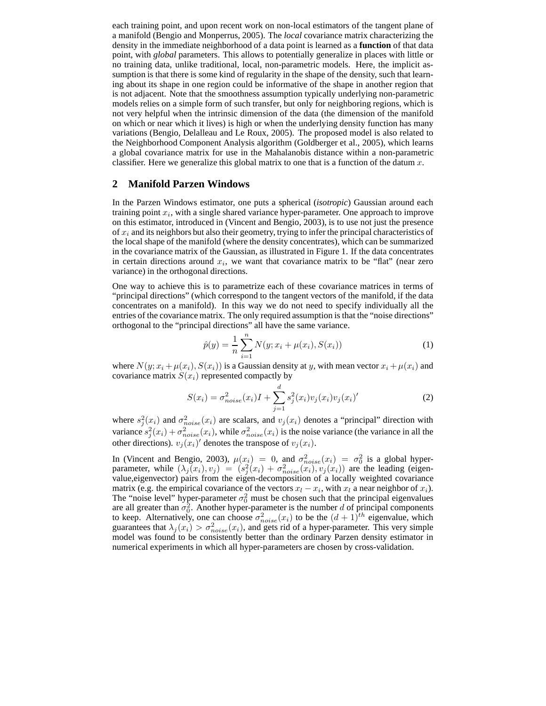each training point, and upon recent work on non-local estimators of the tangent plane of a manifold (Bengio and Monperrus, 2005). The *local* covariance matrix characterizing the density in the immediate neighborhood of a data point is learned as a **function** of that data point, with *global* parameters. This allows to potentially generalize in places with little or no training data, unlike traditional, local, non-parametric models. Here, the implicit assumption is that there is some kind of regularity in the shape of the density, such that learning about its shape in one region could be informative of the shape in another region that is not adjacent. Note that the smoothness assumption typically underlying non-parametric models relies on a simple form of such transfer, but only for neighboring regions, which is not very helpful when the intrinsic dimension of the data (the dimension of the manifold on which or near which it lives) is high or when the underlying density function has many variations (Bengio, Delalleau and Le Roux, 2005). The proposed model is also related to the Neighborhood Component Analysis algorithm (Goldberger et al., 2005), which learns a global covariance matrix for use in the Mahalanobis distance within a non-parametric classifier. Here we generalize this global matrix to one that is a function of the datum  $x$ .

## **2 Manifold Parzen Windows**

In the Parzen Windows estimator, one puts a spherical (*isotropic*) Gaussian around each training point  $x_i$ , with a single shared variance hyper-parameter. One approach to improve on this estimator, introduced in (Vincent and Bengio, 2003), is to use not just the presence of  $x_i$  and its neighbors but also their geometry, trying to infer the principal characteristics of the local shape of the manifold (where the density concentrates), which can be summarized in the covariance matrix of the Gaussian, as illustrated in Figure 1. If the data concentrates in certain directions around  $x_i$ , we want that covariance matrix to be "flat" (near zero variance) in the orthogonal directions.

One way to achieve this is to parametrize each of these covariance matrices in terms of "principal directions" (which correspond to the tangent vectors of the manifold, if the data concentrates on a manifold). In this way we do not need to specify individually all the entries of the covariance matrix. The only required assumption is that the "noise directions" orthogonal to the "principal directions" all have the same variance.

$$
\hat{p}(y) = \frac{1}{n} \sum_{i=1}^{n} N(y; x_i + \mu(x_i), S(x_i))
$$
\n(1)

where  $N(y; x_i + \mu(x_i), S(x_i))$  is a Gaussian density at y, with mean vector  $x_i + \mu(x_i)$  and covariance matrix  $S(x_i)$  represented compactly by

$$
S(x_i) = \sigma_{noise}^2(x_i)I + \sum_{j=1}^d s_j^2(x_i)v_j(x_i)v_j(x_i)'
$$
 (2)

where  $s_j^2(x_i)$  and  $\sigma_{noise}^2(x_i)$  are scalars, and  $v_j(x_i)$  denotes a "principal" direction with variance  $s_j^2(x_i) + \sigma_{noise}^2(x_i)$ , while  $\sigma_{noise}^2(x_i)$  is the noise variance (the variance in all the other directions).  $v_j(x_i)'$  denotes the transpose of  $v_j(x_i)$ .

In (Vincent and Bengio, 2003),  $\mu(x_i) = 0$ , and  $\sigma_{noise}^2(x_i) = \sigma_0^2$  is a global hyperparameter, while  $(\lambda_j(x_i), v_j) = (s_j^2(x_i) + \sigma_{noise}^2(x_i), v_j(x_i))$  are the leading (eigenvalue,eigenvector) pairs from the eigen-decomposition of a locally weighted covariance matrix (e.g. the empirical covariance of the vectors  $x_l - x_i$ , with  $x_l$  a near neighbor of  $x_i$ ). The "noise level" hyper-parameter  $\sigma_0^2$  must be chosen such that the principal eigenvalues are all greater than  $\sigma_0^2$ . Another hyper-parameter is the number d of principal components to keep. Alternatively, one can choose  $\sigma_{noise}^2(x_i)$  to be the  $(d+1)^{th}$  eigenvalue, which guarantees that  $\lambda_j(x_i) > \sigma_{noise}^2(x_i)$ , and gets rid of a hyper-parameter. This very simple model was found to be consistently better than the ordinary Parzen density estimator in numerical experiments in which all hyper-parameters are chosen by cross-validation.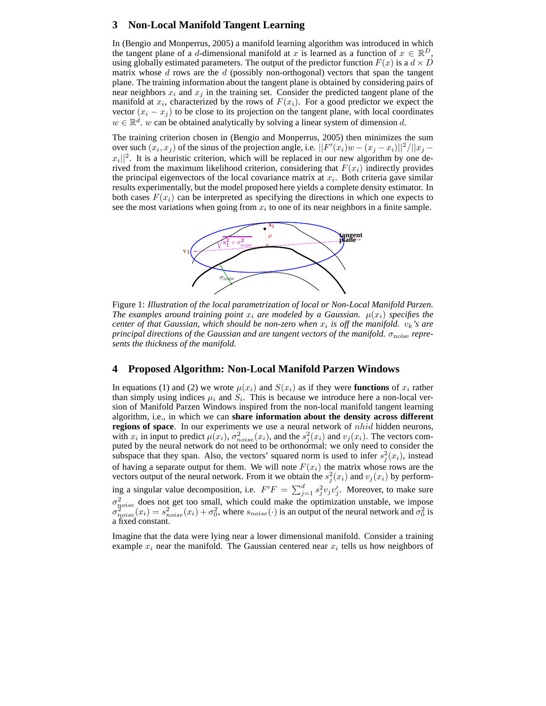## **3 Non-Local Manifold Tangent Learning**

In (Bengio and Monperrus, 2005) a manifold learning algorithm was introduced in which the tangent plane of a d-dimensional manifold at x is learned as a function of  $x \in \mathbb{R}^D$ , using globally estimated parameters. The output of the predictor function  $F(x)$  is a  $d \times D$ matrix whose  $d$  rows are the  $d$  (possibly non-orthogonal) vectors that span the tangent plane. The training information about the tangent plane is obtained by considering pairs of near neighbors  $x_i$  and  $x_j$  in the training set. Consider the predicted tangent plane of the manifold at  $x_i$ , characterized by the rows of  $F(x_i)$ . For a good predictor we expect the vector  $(x_i - x_j)$  to be close to its projection on the tangent plane, with local coordinates  $w \in \mathbb{R}^d$ . w can be obtained analytically by solving a linear system of dimension d.

The training criterion chosen in (Bengio and Monperrus, 2005) then minimizes the sum over such  $(x_i, x_j)$  of the sinus of the projection angle, i.e.  $\frac{|F'(x_i)w - (x_j - x_i)||^2}{||x_j - x_j||^2}$  $|x_i||^2$ . It is a heuristic criterion, which will be replaced in our new algorithm by one derived from the maximum likelihood criterion, considering that  $F(x_i)$  indirectly provides the principal eigenvectors of the local covariance matrix at  $x_i$ . Both criteria gave similar results experimentally, but the model proposed here yields a complete density estimator. In both cases  $F(x_i)$  can be interpreted as specifying the directions in which one expects to see the most variations when going from  $x_i$  to one of its near neighbors in a finite sample.



Figure 1: *Illustration of the local parametrization of local or Non-Local Manifold Parzen. The examples around training point*  $x_i$  *are modeled by a Gaussian.*  $\mu(x_i)$  *specifies the center of that Gaussian, which should be non-zero when*  $x_i$  *is off the manifold.*  $v_k$ 's are *principal directions of the Gaussian and are tangent vectors of the manifold.*  $\sigma_{\text{noise}}$  *represents the thickness of the manifold.*

## **4 Proposed Algorithm: Non-Local Manifold Parzen Windows**

In equations (1) and (2) we wrote  $\mu(x_i)$  and  $S(x_i)$  as if they were **functions** of  $x_i$  rather than simply using indices  $\mu_i$  and  $S_i$ . This is because we introduce here a non-local version of Manifold Parzen Windows inspired from the non-local manifold tangent learning algorithm, i.e., in which we can **share information about the density across different regions of space**. In our experiments we use a neural network of nhid hidden neurons, with  $x_i$  in input to predict  $\mu(x_i)$ ,  $\sigma_{noise}^2(x_i)$ , and the  $s_j^2(x_i)$  and  $v_j(x_i)$ . The vectors computed by the neural network do not need to be orthonormal: we only need to consider the subspace that they span. Also, the vectors' squared norm is used to infer  $s_j^2(x_i)$ , instead of having a separate output for them. We will note  $F(x_i)$  the matrix whose rows are the vectors output of the neural network. From it we obtain the  $s_j^2(x_i)$  and  $v_j(x_i)$  by performing a singular value decomposition, i.e.  $F'F = \sum_{j=1}^{d} s_j^2 v_j v'_j$ . Moreover, to make sure  $\sigma_{noise}^2$  does not get too small, which could make the optimization unstable, we impose  $\sigma_{noise}^2(x_i) = s_{noise}^2(x_i) + \sigma_0^2$ , where  $s_{noise}(\cdot)$  is an output of the neural network and  $\sigma_0^2$  is a fixed constant.

Imagine that the data were lying near a lower dimensional manifold. Consider a training example  $x_i$  near the manifold. The Gaussian centered near  $x_i$  tells us how neighbors of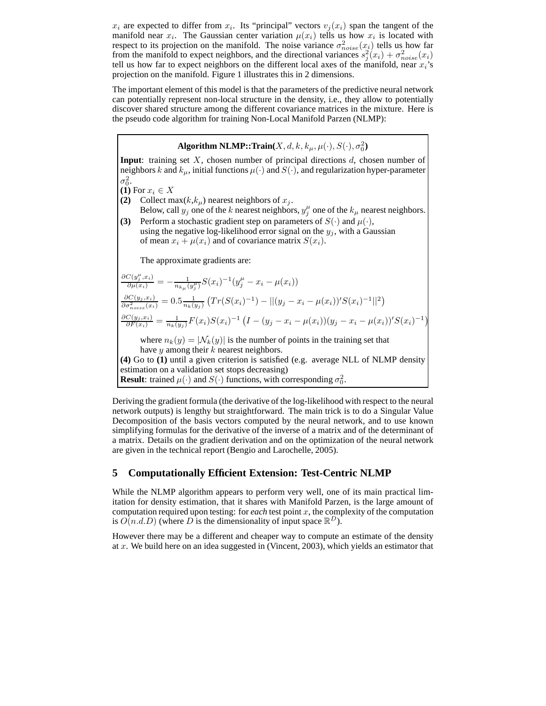$x_i$  are expected to differ from  $x_i$ . Its "principal" vectors  $v_j(x_i)$  span the tangent of the manifold near  $x_i$ . The Gaussian center variation  $\mu(x_i)$  tells us how  $x_i$  is located with respect to its projection on the manifold. The noise variance  $\sigma_{noise}^2(x_i)$  tells us how far from the manifold to expect neighbors, and the directional variances  $s_j^2(x_i) + \sigma_{noise}^2(x_i)$ tell us how far to expect neighbors on the different local axes of the manifold, near  $x_i$ 's projection on the manifold. Figure 1 illustrates this in 2 dimensions.

The important element of this model is that the parameters of the predictive neural network can potentially represent non-local structure in the density, i.e., they allow to potentially discover shared structure among the different covariance matrices in the mixture. Here is the pseudo code algorithm for training Non-Local Manifold Parzen (NLMP):

**Algorithm NLMP::Train** $(X, d, k, k_\mu, \mu(\cdot), S(\cdot), \sigma_0^2)$ **Input**: training set X, chosen number of principal directions d, chosen number of neighbors k and  $k_{\mu}$ , initial functions  $\mu(\cdot)$  and  $S(\cdot)$ , and regularization hyper-parameter  $\sigma_0^2$ . **(1)** For  $x_i \in X$ **(2)** Collect max( $k, k_\mu$ ) nearest neighbors of  $x_j$ . Below, call  $y_j$  one of the k nearest neighbors,  $y_j^{\mu}$  one of the  $k_{\mu}$  nearest neighbors. **(3)** Perform a stochastic gradient step on parameters of  $S(\cdot)$  and  $\mu(\cdot)$ , using the negative log-likelihood error signal on the  $y_i$ , with a Gaussian of mean  $x_i + \mu(x_i)$  and of covariance matrix  $S(x_i)$ . The approximate gradients are:  $\frac{\partial C(y_j^{\mu}, x_i)}{\partial \mu(x_i)} = -\frac{1}{n_{k\mu}(y_j^{\mu})} S(x_i)^{-1} (y_j^{\mu} - x_i - \mu(x_i))$  $\frac{\partial C(y_j, x_i)}{\partial \sigma_{noise}^2(x_i)} = 0.5 \frac{1}{n_k(y_j)} \left( Tr(S(x_i)^{-1}) - ||(y_j - x_i - \mu(x_i))'S(x_i)^{-1}||^2 \right)$  $\frac{\partial C(y_j, x_i)}{\partial F(x_i)} = \frac{1}{n_k(y_j)} F(x_i) S(x_i)^{-1} \left( I - (y_j - x_i - \mu(x_i))(y_j - x_i - \mu(x_i))' S(x_i)^{-1} \right)$  $\lambda$ where  $n_k(y) = |\mathcal{N}_k(y)|$  is the number of points in the training set that have y among their  $k$  nearest neighbors. **(4)** Go to **(1)** until a given criterion is satisfied (e.g. average NLL of NLMP density estimation on a validation set stops decreasing) **Result**: trained  $\mu(\cdot)$  and  $S(\cdot)$  functions, with corresponding  $\sigma_0^2$ .

Deriving the gradient formula (the derivative of the log-likelihood with respect to the neural network outputs) is lengthy but straightforward. The main trick is to do a Singular Value Decomposition of the basis vectors computed by the neural network, and to use known simplifying formulas for the derivative of the inverse of a matrix and of the determinant of a matrix. Details on the gradient derivation and on the optimization of the neural network are given in the technical report (Bengio and Larochelle, 2005).

## **5 Computationally Efficient Extension: Test-Centric NLMP**

While the NLMP algorithm appears to perform very well, one of its main practical limitation for density estimation, that it shares with Manifold Parzen, is the large amount of computation required upon testing: for *each* test point  $x$ , the complexity of the computation is  $O(n.d.D)$  (where D is the dimensionality of input space  $\mathbb{R}^D$ ).

However there may be a different and cheaper way to compute an estimate of the density at  $x$ . We build here on an idea suggested in (Vincent, 2003), which yields an estimator that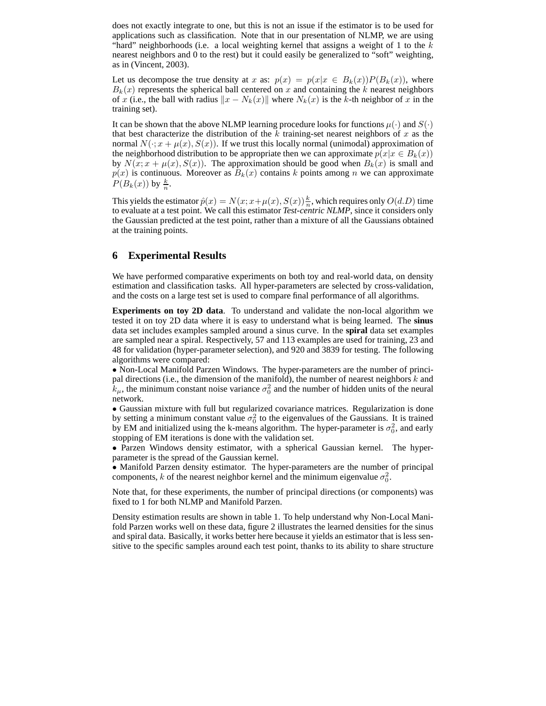does not exactly integrate to one, but this is not an issue if the estimator is to be used for applications such as classification. Note that in our presentation of NLMP, we are using "hard" neighborhoods (i.e. a local weighting kernel that assigns a weight of 1 to the  $k$ nearest neighbors and 0 to the rest) but it could easily be generalized to "soft" weighting, as in (Vincent, 2003).

Let us decompose the true density at x as:  $p(x) = p(x|x \in B_k(x))P(B_k(x))$ , where  $B_k(x)$  represents the spherical ball centered on x and containing the k nearest neighbors of x (i.e., the ball with radius  $||x - N_k(x)||$  where  $N_k(x)$  is the k-th neighbor of x in the training set).

It can be shown that the above NLMP learning procedure looks for functions  $\mu(\cdot)$  and  $S(\cdot)$ that best characterize the distribution of the k training-set nearest neighbors of x as the normal  $N(\cdot; x + \mu(x), S(x))$ . If we trust this locally normal (unimodal) approximation of the neighborhood distribution to be appropriate then we can approximate  $p(x|x \in B_k(x))$ by  $N(x; x + \mu(x), S(x))$ . The approximation should be good when  $B_k(x)$  is small and  $p(x)$  is continuous. Moreover as  $B_k(x)$  contains k points among n we can approximate  $P(B_k(x))$  by  $\frac{k}{n}$ .

This yields the estimator  $\hat{p}(x) = N(x; x + \mu(x), S(x)) \frac{k}{n}$ , which requires only  $O(d.D)$  time to evaluate at a test point. We call this estimator *Test-centric NLMP*, since it considers only the Gaussian predicted at the test point, rather than a mixture of all the Gaussians obtained at the training points.

## **6 Experimental Results**

We have performed comparative experiments on both toy and real-world data, on density estimation and classification tasks. All hyper-parameters are selected by cross-validation, and the costs on a large test set is used to compare final performance of all algorithms.

**Experiments on toy 2D data**. To understand and validate the non-local algorithm we tested it on toy 2D data where it is easy to understand what is being learned. The **sinus** data set includes examples sampled around a sinus curve. In the **spiral** data set examples are sampled near a spiral. Respectively, 57 and 113 examples are used for training, 23 and 48 for validation (hyper-parameter selection), and 920 and 3839 for testing. The following algorithms were compared:

• Non-Local Manifold Parzen Windows. The hyper-parameters are the number of principal directions (i.e., the dimension of the manifold), the number of nearest neighbors  $k$  and  $\bar{k}_{\mu}$ , the minimum constant noise variance  $\sigma_0^2$  and the number of hidden units of the neural network.

• Gaussian mixture with full but regularized covariance matrices. Regularization is done by setting a minimum constant value  $\sigma_0^2$  to the eigenvalues of the Gaussians. It is trained by EM and initialized using the k-means algorithm. The hyper-parameter is  $\sigma_0^2$ , and early stopping of EM iterations is done with the validation set.

• Parzen Windows density estimator, with a spherical Gaussian kernel. The hyperparameter is the spread of the Gaussian kernel.

• Manifold Parzen density estimator. The hyper-parameters are the number of principal components, k of the nearest neighbor kernel and the minimum eigenvalue  $\sigma_0^2$ .

Note that, for these experiments, the number of principal directions (or components) was fixed to 1 for both NLMP and Manifold Parzen.

Density estimation results are shown in table 1. To help understand why Non-Local Manifold Parzen works well on these data, figure 2 illustrates the learned densities for the sinus and spiral data. Basically, it works better here because it yields an estimator that is less sensitive to the specific samples around each test point, thanks to its ability to share structure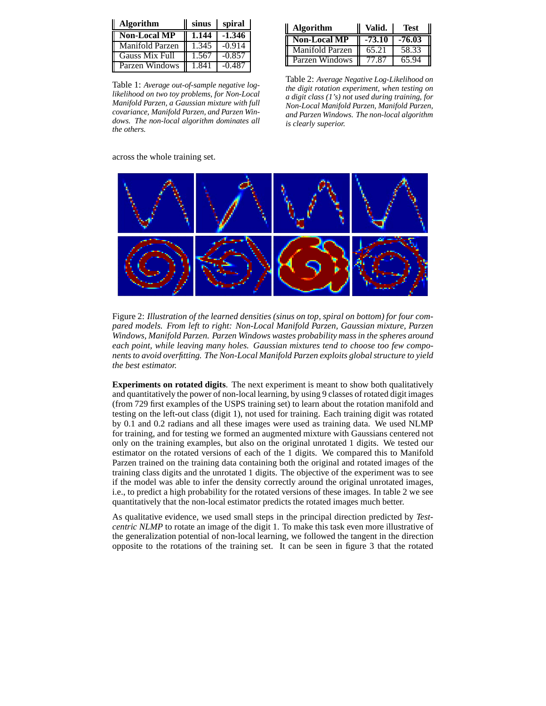| <b>Algorithm</b>      | sinus | spiral   |
|-----------------------|-------|----------|
| <b>Non-Local MP</b>   | 1.144 | $-1.346$ |
| Manifold Parzen       | 1.345 | $-0.914$ |
| <b>Gauss Mix Full</b> | 1.567 | $-0.857$ |
| Parzen Windows        | 1.841 | $-0.487$ |

Table 1: *Average out-of-sample negative loglikelihood on two toy problems, for Non-Local Manifold Parzen, a Gaussian mixture with full covariance, Manifold Parzen, and Parzen Windows. The non-local algorithm dominates all the others.*

| <b>Algorithm</b>    | Valid.   | Test   |
|---------------------|----------|--------|
| <b>Non-Local MP</b> | $-73.10$ | -76.03 |
| Manifold Parzen     | 65.21    | 58.33  |
| Parzen Windows      | 77.87    | 65.94  |

Table 2: *Average Negative Log-Likelihood on the digit rotation experiment, when testing on a digit class (1's) not used during training, for Non-Local Manifold Parzen, Manifold Parzen, and Parzen Windows. The non-local algorithm is clearly superior.*

across the whole training set.



Figure 2: *Illustration of the learned densities (sinus on top, spiral on bottom) for four compared models. From left to right: Non-Local Manifold Parzen, Gaussian mixture, Parzen Windows, Manifold Parzen. Parzen Windows wastes probability mass in the spheres around each point, while leaving many holes. Gaussian mixtures tend to choose too few components to avoid overfitting. The Non-Local Manifold Parzen exploits global structure to yield the best estimator.*

**Experiments on rotated digits**. The next experiment is meant to show both qualitatively and quantitatively the power of non-local learning, by using 9 classes of rotated digit images (from 729 first examples of the USPS training set) to learn about the rotation manifold and testing on the left-out class (digit 1), not used for training. Each training digit was rotated by 0.1 and 0.2 radians and all these images were used as training data. We used NLMP for training, and for testing we formed an augmented mixture with Gaussians centered not only on the training examples, but also on the original unrotated 1 digits. We tested our estimator on the rotated versions of each of the 1 digits. We compared this to Manifold Parzen trained on the training data containing both the original and rotated images of the training class digits and the unrotated 1 digits. The objective of the experiment was to see if the model was able to infer the density correctly around the original unrotated images, i.e., to predict a high probability for the rotated versions of these images. In table 2 we see quantitatively that the non-local estimator predicts the rotated images much better.

As qualitative evidence, we used small steps in the principal direction predicted by *Testcentric NLMP* to rotate an image of the digit 1. To make this task even more illustrative of the generalization potential of non-local learning, we followed the tangent in the direction opposite to the rotations of the training set. It can be seen in figure 3 that the rotated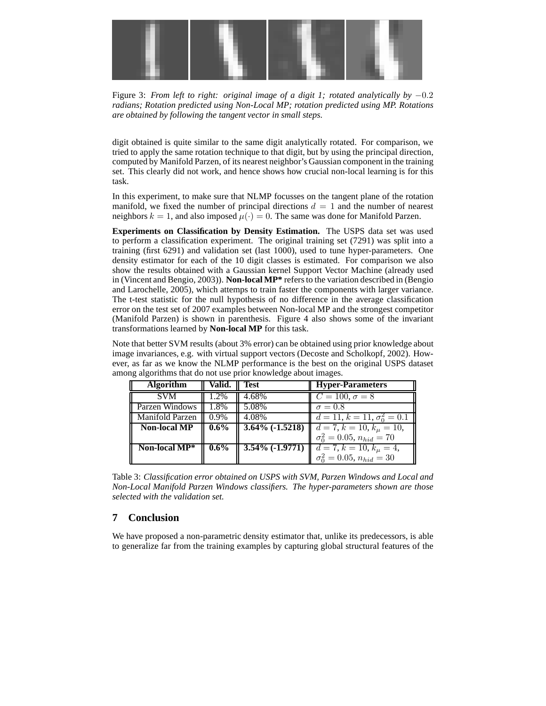

Figure 3: *From left to right: original image of a digit 1; rotated analytically by* −0.2 *radians; Rotation predicted using Non-Local MP; rotation predicted using MP. Rotations are obtained by following the tangent vector in small steps.*

digit obtained is quite similar to the same digit analytically rotated. For comparison, we tried to apply the same rotation technique to that digit, but by using the principal direction, computed by Manifold Parzen, of its nearest neighbor's Gaussian component in the training set. This clearly did not work, and hence shows how crucial non-local learning is for this task.

In this experiment, to make sure that NLMP focusses on the tangent plane of the rotation manifold, we fixed the number of principal directions  $d = 1$  and the number of nearest neighbors  $k = 1$ , and also imposed  $\mu(\cdot) = 0$ . The same was done for Manifold Parzen.

**Experiments on Classification by Density Estimation.** The USPS data set was used to perform a classification experiment. The original training set (7291) was split into a training (first 6291) and validation set (last 1000), used to tune hyper-parameters. One density estimator for each of the 10 digit classes is estimated. For comparison we also show the results obtained with a Gaussian kernel Support Vector Machine (already used in (Vincent and Bengio, 2003)). **Non-local MP\*** refers to the variation described in (Bengio and Larochelle, 2005), which attemps to train faster the components with larger variance. The t-test statistic for the null hypothesis of no difference in the average classification error on the test set of 2007 examples between Non-local MP and the strongest competitor (Manifold Parzen) is shown in parenthesis. Figure 4 also shows some of the invariant transformations learned by **Non-local MP** for this task.

Note that better SVM results (about 3% error) can be obtained using prior knowledge about image invariances, e.g. with virtual support vectors (Decoste and Scholkopf, 2002). However, as far as we know the NLMP performance is the best on the original USPS dataset among algorithms that do not use prior knowledge about images.

| <b>Algorithm</b>       | Valid.  | Test               | <b>Hyper-Parameters</b>                                       |
|------------------------|---------|--------------------|---------------------------------------------------------------|
| <b>SVM</b>             | 1.2%    | 4.68%              | $C = 100, \sigma = 8$                                         |
| Parzen Windows         | 1.8%    | 5.08%              | $\sigma = 0.8$                                                |
| <b>Manifold Parzen</b> | $0.9\%$ | 4.08%              | $\overline{d=11}, k=11, \sigma_0^2=0.1$                       |
| <b>Non-local MP</b>    | $0.6\%$ | $3.64\%$ (-1.5218) | $d = 7, k = 10, k_{\mu} = 10,$                                |
|                        |         |                    | $\sigma_0^2 = 0.05$ , $n_{hid} = 70$                          |
| Non-local $MP^*$       | $0.6\%$ |                    | <b>3.54% (-1.9771)</b> $\mathbf{d} = 7, k = 10, k_{\mu} = 4,$ |
|                        |         |                    | $\sigma_0^2 = 0.05, n_{hid} = 30$                             |

Table 3: *Classification error obtained on USPS with SVM, Parzen Windows and Local and Non-Local Manifold Parzen Windows classifiers. The hyper-parameters shown are those selected with the validation set.*

## **7 Conclusion**

We have proposed a non-parametric density estimator that, unlike its predecessors, is able to generalize far from the training examples by capturing global structural features of the